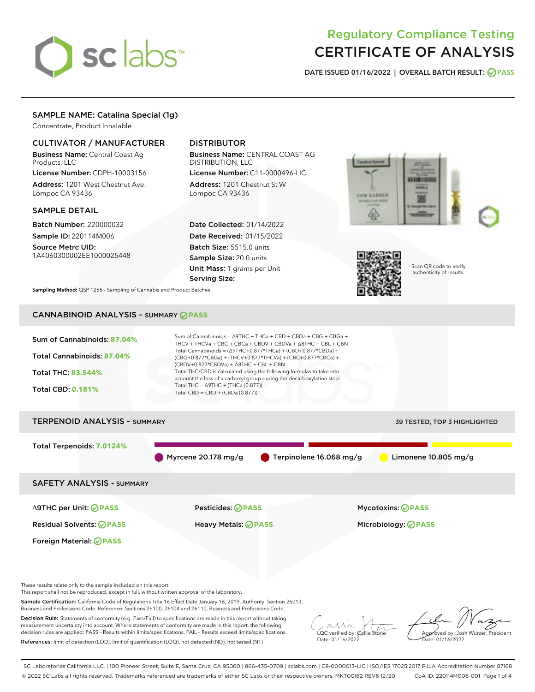# sclabs<sup>\*</sup>

# Regulatory Compliance Testing CERTIFICATE OF ANALYSIS

DATE ISSUED 01/16/2022 | OVERALL BATCH RESULT: @ PASS

# SAMPLE NAME: Catalina Special (1g)

Concentrate, Product Inhalable

# CULTIVATOR / MANUFACTURER

Business Name: Central Coast Ag Products, LLC

License Number: CDPH-10003156 Address: 1201 West Chestnut Ave. Lompoc CA 93436

# SAMPLE DETAIL

Batch Number: 220000032 Sample ID: 220114M006

Source Metrc UID: 1A4060300002EE1000025448

# DISTRIBUTOR

Business Name: CENTRAL COAST AG DISTRIBUTION, LLC

License Number: C11-0000496-LIC Address: 1201 Chestnut St W Lompoc CA 93436

Date Collected: 01/14/2022 Date Received: 01/15/2022 Batch Size: 5515.0 units Sample Size: 20.0 units Unit Mass: 1 grams per Unit Serving Size:





Scan QR code to verify authenticity of results.

Sampling Method: QSP 1265 - Sampling of Cannabis and Product Batches

# CANNABINOID ANALYSIS - SUMMARY **PASS**

decision rules are applied: PASS – Results within limits/specifications, FAIL – Results exceed limits/specifications. References: limit of detection (LOD), limit of quantification (LOQ), not detected (ND), not tested (NT)



LQC verified by: Callie Stone Date: 01/16/2022

Approved by: Josh Wurzer, President ate: 01/16/2022

SC Laboratories California LLC. | 100 Pioneer Street, Suite E, Santa Cruz, CA 95060 | 866-435-0709 | sclabs.com | C8-0000013-LIC | ISO/IES 17025:2017 PJLA Accreditation Number 87168 © 2022 SC Labs all rights reserved. Trademarks referenced are trademarks of either SC Labs or their respective owners. MKT00162 REV6 12/20 CoA ID: 220114M006-001 Page 1 of 4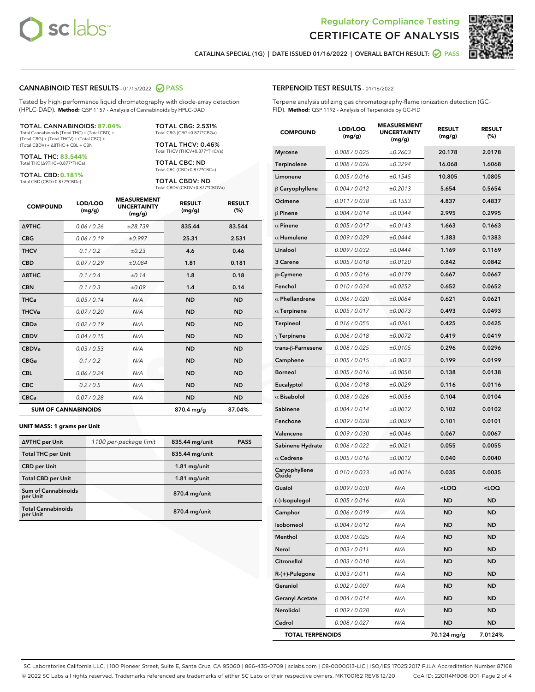



CATALINA SPECIAL (1G) | DATE ISSUED 01/16/2022 | OVERALL BATCH RESULT: @ PASS

#### CANNABINOID TEST RESULTS - 01/15/2022 2 PASS

Tested by high-performance liquid chromatography with diode-array detection (HPLC-DAD). **Method:** QSP 1157 - Analysis of Cannabinoids by HPLC-DAD

#### TOTAL CANNABINOIDS: **87.04%**

Total Cannabinoids (Total THC) + (Total CBD) + (Total CBG) + (Total THCV) + (Total CBC) + (Total CBDV) + ∆8THC + CBL + CBN

TOTAL THC: **83.544%** Total THC (∆9THC+0.877\*THCa)

TOTAL CBD: **0.181%**

Total CBD (CBD+0.877\*CBDa)

TOTAL CBG: 2.531% Total CBG (CBG+0.877\*CBGa)

TOTAL THCV: 0.46% Total THCV (THCV+0.877\*THCVa)

TOTAL CBC: ND Total CBC (CBC+0.877\*CBCa)

TOTAL CBDV: ND Total CBDV (CBDV+0.877\*CBDVa)

| <b>COMPOUND</b>  | LOD/LOQ<br>(mg/g)          | <b>MEASUREMENT</b><br><b>UNCERTAINTY</b><br>(mg/g) | <b>RESULT</b><br>(mg/g) | <b>RESULT</b><br>(%) |
|------------------|----------------------------|----------------------------------------------------|-------------------------|----------------------|
| <b>A9THC</b>     | 0.06 / 0.26                | ±28.739                                            | 835.44                  | 83.544               |
| <b>CBG</b>       | 0.06/0.19                  | ±0.997                                             | 25.31                   | 2.531                |
| <b>THCV</b>      | 0.1 / 0.2                  | $\pm 0.23$                                         | 4.6                     | 0.46                 |
| <b>CBD</b>       | 0.07/0.29                  | ±0.084                                             | 1.81                    | 0.181                |
| $\triangle$ 8THC | 0.1 / 0.4                  | ±0.14                                              | 1.8                     | 0.18                 |
| <b>CBN</b>       | 0.1 / 0.3                  | ±0.09                                              | 1.4                     | 0.14                 |
| <b>THCa</b>      | 0.05/0.14                  | N/A                                                | <b>ND</b>               | <b>ND</b>            |
| <b>THCVa</b>     | 0.07/0.20                  | N/A                                                | <b>ND</b>               | <b>ND</b>            |
| <b>CBDa</b>      | 0.02/0.19                  | N/A                                                | <b>ND</b>               | <b>ND</b>            |
| <b>CBDV</b>      | 0.04/0.15                  | N/A                                                | <b>ND</b>               | <b>ND</b>            |
| <b>CBDVa</b>     | 0.03/0.53                  | N/A                                                | <b>ND</b>               | <b>ND</b>            |
| <b>CBGa</b>      | 0.1/0.2                    | N/A                                                | <b>ND</b>               | <b>ND</b>            |
| <b>CBL</b>       | 0.06 / 0.24                | N/A                                                | <b>ND</b>               | <b>ND</b>            |
| <b>CBC</b>       | 0.2 / 0.5                  | N/A                                                | <b>ND</b>               | <b>ND</b>            |
| <b>CBCa</b>      | 0.07 / 0.28                | N/A                                                | <b>ND</b>               | <b>ND</b>            |
|                  | <b>SUM OF CANNABINOIDS</b> |                                                    | 870.4 mg/g              | 87.04%               |

#### **UNIT MASS: 1 grams per Unit**

| ∆9THC per Unit                        | 1100 per-package limit | 835.44 mg/unit  | <b>PASS</b> |
|---------------------------------------|------------------------|-----------------|-------------|
| <b>Total THC per Unit</b>             |                        | 835.44 mg/unit  |             |
| <b>CBD per Unit</b>                   |                        | $1.81$ mg/unit  |             |
| <b>Total CBD per Unit</b>             |                        | $1.81$ mg/unit  |             |
| Sum of Cannabinoids<br>per Unit       |                        | $870.4$ mg/unit |             |
| <b>Total Cannabinoids</b><br>per Unit |                        | $870.4$ mg/unit |             |

#### TERPENOID TEST RESULTS - 01/16/2022

Terpene analysis utilizing gas chromatography-flame ionization detection (GC-FID). **Method:** QSP 1192 - Analysis of Terpenoids by GC-FID

| <b>COMPOUND</b>         | LOD/LOQ<br>(mg/g) | <b>MEASUREMENT</b><br><b>UNCERTAINTY</b><br>(mg/g) | <b>RESULT</b><br>(mg/g)                         | <b>RESULT</b><br>(%) |
|-------------------------|-------------------|----------------------------------------------------|-------------------------------------------------|----------------------|
| <b>Myrcene</b>          | 0.008 / 0.025     | ±0.2603                                            | 20.178                                          | 2.0178               |
| Terpinolene             | 0.008 / 0.026     | ±0.3294                                            | 16.068                                          | 1.6068               |
| Limonene                | 0.005 / 0.016     | ±0.1545                                            | 10.805                                          | 1.0805               |
| $\beta$ Caryophyllene   | 0.004 / 0.012     | ±0.2013                                            | 5.654                                           | 0.5654               |
| Ocimene                 | 0.011/0.038       | ±0.1553                                            | 4.837                                           | 0.4837               |
| $\beta$ Pinene          | 0.004 / 0.014     | ±0.0344                                            | 2.995                                           | 0.2995               |
| $\alpha$ Pinene         | 0.005 / 0.017     | ±0.0143                                            | 1.663                                           | 0.1663               |
| $\alpha$ Humulene       | 0.009/0.029       | ±0.0444                                            | 1.383                                           | 0.1383               |
| Linalool                | 0.009 / 0.032     | ±0.0444                                            | 1.169                                           | 0.1169               |
| 3 Carene                | 0.005 / 0.018     | ±0.0120                                            | 0.842                                           | 0.0842               |
| p-Cymene                | 0.005 / 0.016     | ±0.0179                                            | 0.667                                           | 0.0667               |
| Fenchol                 | 0.010 / 0.034     | ±0.0252                                            | 0.652                                           | 0.0652               |
| $\alpha$ Phellandrene   | 0.006 / 0.020     | ±0.0084                                            | 0.621                                           | 0.0621               |
| $\alpha$ Terpinene      | 0.005 / 0.017     | ±0.0073                                            | 0.493                                           | 0.0493               |
| Terpineol               | 0.016 / 0.055     | ±0.0261                                            | 0.425                                           | 0.0425               |
| $\gamma$ Terpinene      | 0.006 / 0.018     | ±0.0072                                            | 0.419                                           | 0.0419               |
| trans-β-Farnesene       | 0.008 / 0.025     | ±0.0105                                            | 0.296                                           | 0.0296               |
| Camphene                | 0.005 / 0.015     | ±0.0023                                            | 0.199                                           | 0.0199               |
| <b>Borneol</b>          | 0.005 / 0.016     | ±0.0058                                            | 0.138                                           | 0.0138               |
| Eucalyptol              | 0.006 / 0.018     | ±0.0029                                            | 0.116                                           | 0.0116               |
| $\alpha$ Bisabolol      | 0.008 / 0.026     | ±0.0056                                            | 0.104                                           | 0.0104               |
| Sabinene                | 0.004 / 0.014     | ±0.0012                                            | 0.102                                           | 0.0102               |
| Fenchone                | 0.009 / 0.028     | ±0.0029                                            | 0.101                                           | 0.0101               |
| Valencene               | 0.009 / 0.030     | ±0.0046                                            | 0.067                                           | 0.0067               |
| Sabinene Hydrate        | 0.006 / 0.022     | ±0.0021                                            | 0.055                                           | 0.0055               |
| $\alpha$ Cedrene        | 0.005 / 0.016     | ±0.0012                                            | 0.040                                           | 0.0040               |
| Caryophyllene<br>Oxide  | 0.010 / 0.033     | ±0.0016                                            | 0.035                                           | 0.0035               |
| Guaiol                  | 0.009 / 0.030     | N/A                                                | <loq< th=""><th><loq< th=""></loq<></th></loq<> | <loq< th=""></loq<>  |
| (-)-Isopulegol          | 0.005 / 0.016     | N/A                                                | <b>ND</b>                                       | <b>ND</b>            |
| Camphor                 | 0.006 / 0.019     | N/A                                                | <b>ND</b>                                       | <b>ND</b>            |
| Isoborneol              | 0.004 / 0.012     | N/A                                                | ND                                              | ND                   |
| Menthol                 | 0.008 / 0.025     | N/A                                                | <b>ND</b>                                       | ND                   |
| Nerol                   | 0.003 / 0.011     | N/A                                                | <b>ND</b>                                       | <b>ND</b>            |
| Citronellol             | 0.003 / 0.010     | N/A                                                | ND                                              | ND                   |
| R-(+)-Pulegone          | 0.003 / 0.011     | N/A                                                | ND                                              | ND                   |
| Geraniol                | 0.002 / 0.007     | N/A                                                | <b>ND</b>                                       | <b>ND</b>            |
| <b>Geranyl Acetate</b>  | 0.004 / 0.014     | N/A                                                | ND                                              | <b>ND</b>            |
| Nerolidol               | 0.009 / 0.028     | N/A                                                | <b>ND</b>                                       | ND                   |
| Cedrol                  | 0.008 / 0.027     | N/A                                                | <b>ND</b>                                       | ND                   |
| <b>TOTAL TERPENOIDS</b> |                   |                                                    | 70.124 mg/g                                     | 7.0124%              |

SC Laboratories California LLC. | 100 Pioneer Street, Suite E, Santa Cruz, CA 95060 | 866-435-0709 | sclabs.com | C8-0000013-LIC | ISO/IES 17025:2017 PJLA Accreditation Number 87168 © 2022 SC Labs all rights reserved. Trademarks referenced are trademarks of either SC Labs or their respective owners. MKT00162 REV6 12/20 CoA ID: 220114M006-001 Page 2 of 4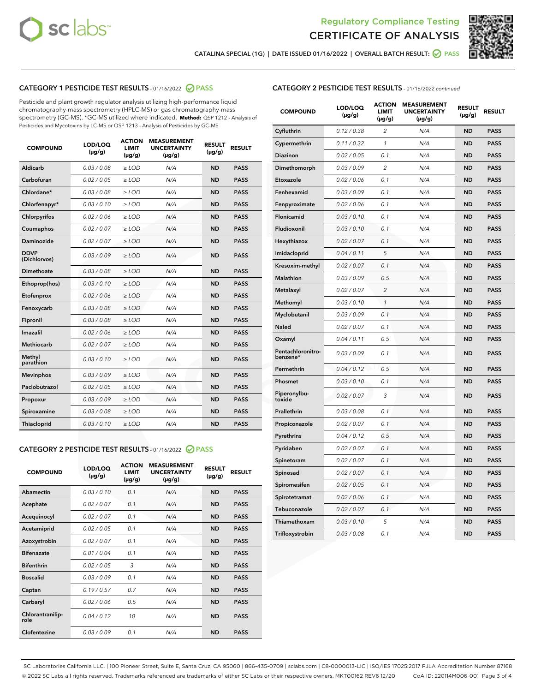



CATALINA SPECIAL (1G) | DATE ISSUED 01/16/2022 | OVERALL BATCH RESULT: @ PASS

# CATEGORY 1 PESTICIDE TEST RESULTS - 01/16/2022 2 PASS

Pesticide and plant growth regulator analysis utilizing high-performance liquid chromatography-mass spectrometry (HPLC-MS) or gas chromatography-mass spectrometry (GC-MS). \*GC-MS utilized where indicated. **Method:** QSP 1212 - Analysis of Pesticides and Mycotoxins by LC-MS or QSP 1213 - Analysis of Pesticides by GC-MS

| <b>COMPOUND</b>             | LOD/LOQ<br>$(\mu g/g)$ | <b>ACTION</b><br><b>LIMIT</b><br>$(\mu g/g)$ | <b>MEASUREMENT</b><br><b>UNCERTAINTY</b><br>$(\mu g/g)$ | <b>RESULT</b><br>$(\mu g/g)$ | <b>RESULT</b> |
|-----------------------------|------------------------|----------------------------------------------|---------------------------------------------------------|------------------------------|---------------|
| Aldicarb                    | 0.03/0.08              | $>$ LOD                                      | N/A                                                     | <b>ND</b>                    | <b>PASS</b>   |
| Carbofuran                  | 0.02 / 0.05            | $\ge$ LOD                                    | N/A                                                     | <b>ND</b>                    | <b>PASS</b>   |
| Chlordane*                  | 0.03 / 0.08            | $\ge$ LOD                                    | N/A                                                     | <b>ND</b>                    | <b>PASS</b>   |
| Chlorfenapyr*               | 0.03/0.10              | $\ge$ LOD                                    | N/A                                                     | <b>ND</b>                    | <b>PASS</b>   |
| Chlorpyrifos                | 0.02 / 0.06            | $\ge$ LOD                                    | N/A                                                     | <b>ND</b>                    | <b>PASS</b>   |
| Coumaphos                   | 0.02 / 0.07            | $\ge$ LOD                                    | N/A                                                     | <b>ND</b>                    | <b>PASS</b>   |
| Daminozide                  | 0.02/0.07              | $>$ LOD                                      | N/A                                                     | <b>ND</b>                    | <b>PASS</b>   |
| <b>DDVP</b><br>(Dichlorvos) | 0.03/0.09              | $\ge$ LOD                                    | N/A                                                     | <b>ND</b>                    | <b>PASS</b>   |
| <b>Dimethoate</b>           | 0.03/0.08              | $\ge$ LOD                                    | N/A                                                     | <b>ND</b>                    | <b>PASS</b>   |
| Ethoprop(hos)               | 0.03/0.10              | $\ge$ LOD                                    | N/A                                                     | <b>ND</b>                    | <b>PASS</b>   |
| Etofenprox                  | 0.02 / 0.06            | $\ge$ LOD                                    | N/A                                                     | <b>ND</b>                    | <b>PASS</b>   |
| Fenoxycarb                  | 0.03/0.08              | $\ge$ LOD                                    | N/A                                                     | <b>ND</b>                    | <b>PASS</b>   |
| Fipronil                    | 0.03/0.08              | $\ge$ LOD                                    | N/A                                                     | <b>ND</b>                    | <b>PASS</b>   |
| Imazalil                    | 0.02 / 0.06            | $>$ LOD                                      | N/A                                                     | <b>ND</b>                    | <b>PASS</b>   |
| Methiocarb                  | 0.02 / 0.07            | $>$ LOD                                      | N/A                                                     | <b>ND</b>                    | <b>PASS</b>   |
| Methyl<br>parathion         | 0.03/0.10              | $>$ LOD                                      | N/A                                                     | <b>ND</b>                    | <b>PASS</b>   |
| <b>Mevinphos</b>            | 0.03/0.09              | $\ge$ LOD                                    | N/A                                                     | <b>ND</b>                    | <b>PASS</b>   |
| Paclobutrazol               | 0.02 / 0.05            | $>$ LOD                                      | N/A                                                     | <b>ND</b>                    | <b>PASS</b>   |
| Propoxur                    | 0.03/0.09              | $\ge$ LOD                                    | N/A                                                     | <b>ND</b>                    | <b>PASS</b>   |
| Spiroxamine                 | 0.03 / 0.08            | $\ge$ LOD                                    | N/A                                                     | <b>ND</b>                    | <b>PASS</b>   |
| Thiacloprid                 | 0.03/0.10              | $\ge$ LOD                                    | N/A                                                     | <b>ND</b>                    | <b>PASS</b>   |

# CATEGORY 2 PESTICIDE TEST RESULTS - 01/16/2022 2 PASS

| <b>COMPOUND</b>          | LOD/LOQ<br>$(\mu g/g)$ | <b>ACTION</b><br><b>LIMIT</b><br>$(\mu g/g)$ | <b>MEASUREMENT</b><br><b>UNCERTAINTY</b><br>$(\mu g/g)$ | <b>RESULT</b><br>$(\mu g/g)$ | <b>RESULT</b> |
|--------------------------|------------------------|----------------------------------------------|---------------------------------------------------------|------------------------------|---------------|
| Abamectin                | 0.03/0.10              | 0.1                                          | N/A                                                     | <b>ND</b>                    | <b>PASS</b>   |
| Acephate                 | 0.02/0.07              | 0.1                                          | N/A                                                     | <b>ND</b>                    | <b>PASS</b>   |
| Acequinocyl              | 0.02/0.07              | 0.1                                          | N/A                                                     | <b>ND</b>                    | <b>PASS</b>   |
| Acetamiprid              | 0.02/0.05              | 0.1                                          | N/A                                                     | <b>ND</b>                    | <b>PASS</b>   |
| Azoxystrobin             | 0.02/0.07              | 0.1                                          | N/A                                                     | <b>ND</b>                    | <b>PASS</b>   |
| <b>Bifenazate</b>        | 0.01/0.04              | 0.1                                          | N/A                                                     | <b>ND</b>                    | <b>PASS</b>   |
| <b>Bifenthrin</b>        | 0.02/0.05              | 3                                            | N/A                                                     | <b>ND</b>                    | <b>PASS</b>   |
| <b>Boscalid</b>          | 0.03/0.09              | 0.1                                          | N/A                                                     | <b>ND</b>                    | <b>PASS</b>   |
| Captan                   | 0.19/0.57              | 0.7                                          | N/A                                                     | <b>ND</b>                    | <b>PASS</b>   |
| Carbaryl                 | 0.02/0.06              | 0.5                                          | N/A                                                     | <b>ND</b>                    | <b>PASS</b>   |
| Chlorantranilip-<br>role | 0.04/0.12              | 10                                           | N/A                                                     | <b>ND</b>                    | <b>PASS</b>   |
| Clofentezine             | 0.03/0.09              | 0.1                                          | N/A                                                     | <b>ND</b>                    | <b>PASS</b>   |

| <b>COMPOUND</b>               | LOD/LOQ<br>(µg/g) | <b>ACTION</b><br><b>LIMIT</b><br>$(\mu g/g)$ | <b>MEASUREMENT</b><br><b>UNCERTAINTY</b><br>$(\mu g/g)$ | <b>RESULT</b><br>(µg/g) | <b>RESULT</b> |
|-------------------------------|-------------------|----------------------------------------------|---------------------------------------------------------|-------------------------|---------------|
| Cyfluthrin                    | 0.12 / 0.38       | 2                                            | N/A                                                     | <b>ND</b>               | <b>PASS</b>   |
| Cypermethrin                  | 0.11 / 0.32       | 1                                            | N/A                                                     | <b>ND</b>               | <b>PASS</b>   |
| Diazinon                      | 0.02 / 0.05       | 0.1                                          | N/A                                                     | <b>ND</b>               | <b>PASS</b>   |
| Dimethomorph                  | 0.03 / 0.09       | 2                                            | N/A                                                     | <b>ND</b>               | <b>PASS</b>   |
| Etoxazole                     | 0.02 / 0.06       | 0.1                                          | N/A                                                     | <b>ND</b>               | <b>PASS</b>   |
| Fenhexamid                    | 0.03 / 0.09       | 0.1                                          | N/A                                                     | <b>ND</b>               | <b>PASS</b>   |
| Fenpyroximate                 | 0.02 / 0.06       | 0.1                                          | N/A                                                     | <b>ND</b>               | <b>PASS</b>   |
| Flonicamid                    | 0.03 / 0.10       | 0.1                                          | N/A                                                     | <b>ND</b>               | <b>PASS</b>   |
| Fludioxonil                   | 0.03/0.10         | 0.1                                          | N/A                                                     | <b>ND</b>               | <b>PASS</b>   |
| Hexythiazox                   | 0.02 / 0.07       | 0.1                                          | N/A                                                     | <b>ND</b>               | <b>PASS</b>   |
| Imidacloprid                  | 0.04 / 0.11       | 5                                            | N/A                                                     | <b>ND</b>               | <b>PASS</b>   |
| Kresoxim-methyl               | 0.02 / 0.07       | 0.1                                          | N/A                                                     | <b>ND</b>               | <b>PASS</b>   |
| <b>Malathion</b>              | 0.03 / 0.09       | 0.5                                          | N/A                                                     | <b>ND</b>               | <b>PASS</b>   |
| Metalaxyl                     | 0.02 / 0.07       | $\overline{c}$                               | N/A                                                     | <b>ND</b>               | <b>PASS</b>   |
| Methomyl                      | 0.03 / 0.10       | $\mathcal{I}$                                | N/A                                                     | <b>ND</b>               | <b>PASS</b>   |
| Myclobutanil                  | 0.03 / 0.09       | 0.1                                          | N/A                                                     | <b>ND</b>               | <b>PASS</b>   |
| <b>Naled</b>                  | 0.02 / 0.07       | 0.1                                          | N/A                                                     | <b>ND</b>               | <b>PASS</b>   |
| Oxamyl                        | 0.04 / 0.11       | 0.5                                          | N/A                                                     | ND                      | <b>PASS</b>   |
| Pentachloronitro-<br>benzene* | 0.03 / 0.09       | 0.1                                          | N/A                                                     | <b>ND</b>               | <b>PASS</b>   |
| Permethrin                    | 0.04 / 0.12       | 0.5                                          | N/A                                                     | <b>ND</b>               | <b>PASS</b>   |
| Phosmet                       | 0.03/0.10         | 0.1                                          | N/A                                                     | <b>ND</b>               | <b>PASS</b>   |
| Piperonylbu-<br>toxide        | 0.02 / 0.07       | 3                                            | N/A                                                     | <b>ND</b>               | <b>PASS</b>   |
| Prallethrin                   | 0.03 / 0.08       | 0.1                                          | N/A                                                     | <b>ND</b>               | <b>PASS</b>   |
| Propiconazole                 | 0.02 / 0.07       | 0.1                                          | N/A                                                     | ND                      | <b>PASS</b>   |
| Pyrethrins                    | 0.04 / 0.12       | 0.5                                          | N/A                                                     | <b>ND</b>               | <b>PASS</b>   |
| Pyridaben                     | 0.02 / 0.07       | 0.1                                          | N/A                                                     | <b>ND</b>               | <b>PASS</b>   |
| Spinetoram                    | 0.02 / 0.07       | 0.1                                          | N/A                                                     | <b>ND</b>               | <b>PASS</b>   |
| Spinosad                      | 0.02 / 0.07       | 0.1                                          | N/A                                                     | <b>ND</b>               | <b>PASS</b>   |
| Spiromesifen                  | 0.02 / 0.05       | 0.1                                          | N/A                                                     | <b>ND</b>               | <b>PASS</b>   |
| Spirotetramat                 | 0.02 / 0.06       | 0.1                                          | N/A                                                     | <b>ND</b>               | <b>PASS</b>   |
| Tebuconazole                  | 0.02 / 0.07       | 0.1                                          | N/A                                                     | ND                      | <b>PASS</b>   |
| Thiamethoxam                  | 0.03 / 0.10       | 5                                            | N/A                                                     | <b>ND</b>               | <b>PASS</b>   |
| Trifloxystrobin               | 0.03 / 0.08       | 0.1                                          | N/A                                                     | <b>ND</b>               | <b>PASS</b>   |

SC Laboratories California LLC. | 100 Pioneer Street, Suite E, Santa Cruz, CA 95060 | 866-435-0709 | sclabs.com | C8-0000013-LIC | ISO/IES 17025:2017 PJLA Accreditation Number 87168 © 2022 SC Labs all rights reserved. Trademarks referenced are trademarks of either SC Labs or their respective owners. MKT00162 REV6 12/20 CoA ID: 220114M006-001 Page 3 of 4